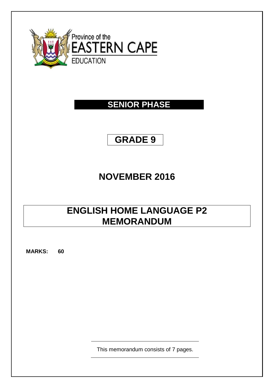

### **SENIOR PHASE**

# **GRADE 9**

## **NOVEMBER 2016**

## **ENGLISH HOME LANGUAGE P2 MEMORANDUM**

**MARKS: 60**

This memorandum consists of 7 pages.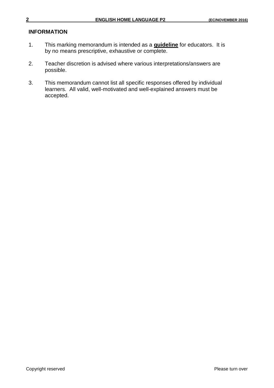#### **INFORMATION**

- 1. This marking memorandum is intended as a **guideline** for educators. It is by no means prescriptive, exhaustive or complete.
- 2. Teacher discretion is advised where various interpretations/answers are possible.
- 3. This memorandum cannot list all specific responses offered by individual learners. All valid, well-motivated and well-explained answers must be accepted.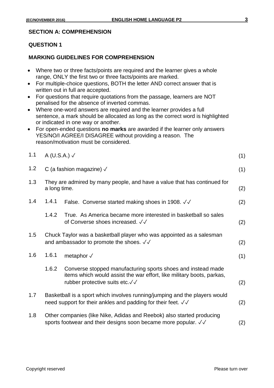#### **SECTION A: COMPREHENSION**

#### **QUESTION 1**

#### **MARKING GUIDELINES FOR COMPREHENSION**

| • Where two or three facts/points are required and the learner gives a whole |
|------------------------------------------------------------------------------|
| range, ONLY the first two or three facts/points are marked.                  |

- For multiple-choice questions, BOTH the letter AND correct answer that is written out in full are accepted.
- For questions that require quotations from the passage, learners are NOT penalised for the absence of inverted commas.
- Where one-word answers are required and the learner provides a full sentence, a mark should be allocated as long as the correct word is highlighted or indicated in one way or another.
- For open-ended questions **no marks** are awarded if the learner only answers YES/NO/I AGREE/I DISAGREE without providing a reason. The reason/motivation must be considered.

| 1.1 | A (U.S.A.) $\checkmark$                                                                                                                    |                                                                                                                                                                         | (1) |
|-----|--------------------------------------------------------------------------------------------------------------------------------------------|-------------------------------------------------------------------------------------------------------------------------------------------------------------------------|-----|
| 1.2 |                                                                                                                                            | C (a fashion magazine) $\sqrt{ }$                                                                                                                                       | (1) |
| 1.3 | a long time.                                                                                                                               | They are admired by many people, and have a value that has continued for                                                                                                | (2) |
| 1.4 | 1.4.1                                                                                                                                      | False. Converse started making shoes in 1908. √√                                                                                                                        | (2) |
|     | 1.4.2                                                                                                                                      | True. As America became more interested in basketball so sales<br>of Converse shoes increased. √√                                                                       | (2) |
| 1.5 |                                                                                                                                            | Chuck Taylor was a basketball player who was appointed as a salesman<br>and ambassador to promote the shoes. √√                                                         | (2) |
| 1.6 | 1.6.1                                                                                                                                      | metaphor $\sqrt{}$                                                                                                                                                      | (1) |
|     | 1.6.2                                                                                                                                      | Converse stopped manufacturing sports shoes and instead made<br>items which would assist the war effort, like military boots, parkas,<br>rubber protective suits etc.√√ | (2) |
| 1.7 | Basketball is a sport which involves running/jumping and the players would<br>need support for their ankles and padding for their feet. √√ |                                                                                                                                                                         | (2) |
| 1.8 |                                                                                                                                            | Other companies (like Nike, Adidas and Reebok) also started producing<br>sports footwear and their designs soon became more popular. √√                                 | (2) |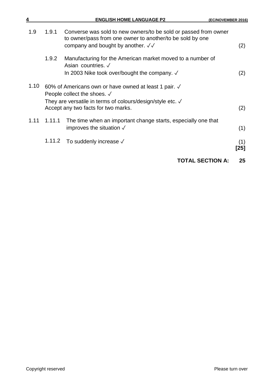| 4    |        | <b>ENGLISH HOME LANGUAGE P2</b>                                                                                                                                                                            | (EC/NOVEMBER 2016) |
|------|--------|------------------------------------------------------------------------------------------------------------------------------------------------------------------------------------------------------------|--------------------|
| 1.9  | 1.9.1  | Converse was sold to new owners/to be sold or passed from owner<br>to owner/pass from one owner to another/to be sold by one<br>company and bought by another. $\sqrt{\sqrt{ }}$                           | (2)                |
|      | 1.9.2  | Manufacturing for the American market moved to a number of<br>Asian countries. $\sqrt$<br>In 2003 Nike took over/bought the company. $\sqrt$                                                               | (2)                |
| 1.10 |        | 60% of Americans own or have owned at least 1 pair. √<br>People collect the shoes. $\sqrt{}$<br>They are versatile in terms of colours/design/style etc. $\sqrt{ }$<br>Accept any two facts for two marks. | (2)                |
| 1.11 | 1.11.1 | The time when an important change starts, especially one that<br>improves the situation $\sqrt{}$                                                                                                          | (1)                |
|      | 1.11.2 | To suddenly increase $\sqrt{}$                                                                                                                                                                             | (1)<br>[25]        |
|      |        | <b>TOTAL SECTION A:</b>                                                                                                                                                                                    | 25                 |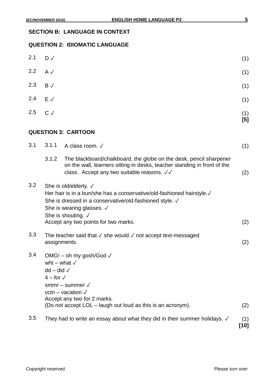#### **SECTION B: LANGUAGE IN CONTEXT**

#### **QUESTION 2: IDIOMATIC LANGUAGE**

| 2.1 | $D \checkmark$                                                                                                                                                                                                                                       |                                                                                                                                                                                                                                                                           | (1)         |
|-----|------------------------------------------------------------------------------------------------------------------------------------------------------------------------------------------------------------------------------------------------------|---------------------------------------------------------------------------------------------------------------------------------------------------------------------------------------------------------------------------------------------------------------------------|-------------|
| 2.2 | $A \vee$                                                                                                                                                                                                                                             |                                                                                                                                                                                                                                                                           | (1)         |
| 2.3 | $B \checkmark$                                                                                                                                                                                                                                       |                                                                                                                                                                                                                                                                           | (1)         |
| 2.4 | $E \sqrt{}$                                                                                                                                                                                                                                          |                                                                                                                                                                                                                                                                           | (1)         |
| 2.5 | $C \vee$                                                                                                                                                                                                                                             |                                                                                                                                                                                                                                                                           | (1)<br>[5]  |
|     |                                                                                                                                                                                                                                                      | <b>QUESTION 3: CARTOON</b>                                                                                                                                                                                                                                                |             |
| 3.1 | 3.1.1                                                                                                                                                                                                                                                | A class room. √                                                                                                                                                                                                                                                           | (1)         |
|     | 3.1.2                                                                                                                                                                                                                                                | The blackboard/chalkboard, the globe on the desk, pencil sharpener<br>on the wall, learners sitting in desks, teacher standing in front of the<br>class. Accept any two suitable reasons. √√                                                                              | (2)         |
| 3.2 |                                                                                                                                                                                                                                                      | She is old/elderly. $\sqrt$<br>Her hair is in a bun/she has a conservative/old-fashioned hairstyle.√<br>She is dressed in a conservative/old-fashioned style. √<br>She is wearing glasses. $\sqrt{ }$<br>She is shouting. $\sqrt$<br>Accept any two points for two marks. | (2)         |
| 3.3 |                                                                                                                                                                                                                                                      | The teacher said that $\checkmark$ she would $\checkmark$ not accept text-messaged<br>assignments.                                                                                                                                                                        | (2)         |
| 3.4 | OMG! - oh my gosh/God √<br>wht – what $\sqrt{}$<br>$dd - did \sqrt{ }$<br>$4 -$ for $\sqrt{ }$<br>smmr – summer $\sqrt{}$<br>vctn - vacation $\sqrt{}$<br>Accept any two for 2 marks.<br>(Do not accept LOL - laugh out loud as this is an acronym). |                                                                                                                                                                                                                                                                           | (2)         |
| 3.5 |                                                                                                                                                                                                                                                      | They had to write an essay about what they did in their summer holidays. $\sqrt{ }$                                                                                                                                                                                       | (1)<br>[10] |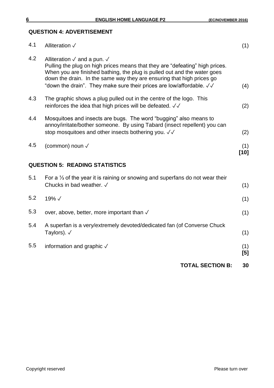### **QUESTION 4: ADVERTISEMENT**

|     | <b>TOTAL SECTION B:</b>                                                                                                                                                                                                                                                                                                                                            | 30            |
|-----|--------------------------------------------------------------------------------------------------------------------------------------------------------------------------------------------------------------------------------------------------------------------------------------------------------------------------------------------------------------------|---------------|
| 5.5 | information and graphic V                                                                                                                                                                                                                                                                                                                                          | (1)<br>[5]    |
| 5.4 | A superfan is a very/extremely devoted/dedicated fan (of Converse Chuck<br>Taylors). $\sqrt{}$                                                                                                                                                                                                                                                                     | (1)           |
| 5.3 | over, above, better, more important than √                                                                                                                                                                                                                                                                                                                         | (1)           |
| 5.2 | 19%√                                                                                                                                                                                                                                                                                                                                                               | (1)           |
| 5.1 | For a $\frac{1}{3}$ of the year it is raining or snowing and superfans do not wear their<br>Chucks in bad weather. √                                                                                                                                                                                                                                               | (1)           |
|     | <b>QUESTION 5: READING STATISTICS</b>                                                                                                                                                                                                                                                                                                                              |               |
| 4.5 | (common) noun √                                                                                                                                                                                                                                                                                                                                                    | (1)<br>$[10]$ |
| 4.4 | Mosquitoes and insects are bugs. The word "bugging" also means to<br>annoy/irritate/bother someone. By using Tabard (insect repellent) you can<br>stop mosquitoes and other insects bothering you. $\sqrt{2}$                                                                                                                                                      | (2)           |
| 4.3 | The graphic shows a plug pulled out in the centre of the logo. This<br>reinforces the idea that high prices will be defeated. $\sqrt{\checkmark}$                                                                                                                                                                                                                  | (2)           |
| 4.2 | Alliteration $\sqrt{ }$ and a pun. $\sqrt{ }$<br>Pulling the plug on high prices means that they are "defeating" high prices.<br>When you are finished bathing, the plug is pulled out and the water goes<br>down the drain. In the same way they are ensuring that high prices go<br>"down the drain". They make sure their prices are low/affordable. $\sqrt{2}$ | (4)           |
| 4.1 | Alliteration √                                                                                                                                                                                                                                                                                                                                                     | (1)           |